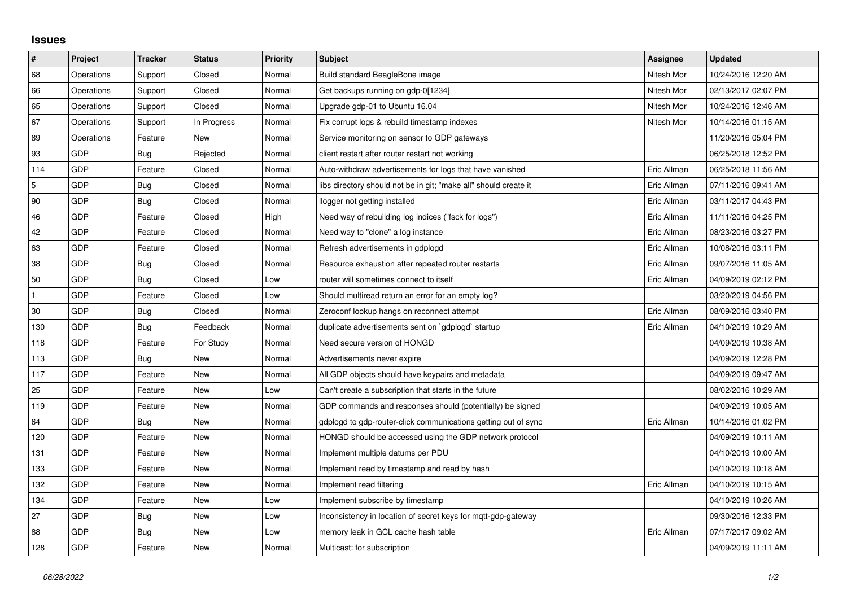## **Issues**

| $\vert$ #    | Project    | <b>Tracker</b> | <b>Status</b> | <b>Priority</b> | <b>Subject</b>                                                   | Assignee    | <b>Updated</b>      |
|--------------|------------|----------------|---------------|-----------------|------------------------------------------------------------------|-------------|---------------------|
| 68           | Operations | Support        | Closed        | Normal          | Build standard BeagleBone image                                  | Nitesh Mor  | 10/24/2016 12:20 AM |
| 66           | Operations | Support        | Closed        | Normal          | Get backups running on gdp-0[1234]                               | Nitesh Mor  | 02/13/2017 02:07 PM |
| 65           | Operations | Support        | Closed        | Normal          | Upgrade gdp-01 to Ubuntu 16.04                                   | Nitesh Mor  | 10/24/2016 12:46 AM |
| 67           | Operations | Support        | In Progress   | Normal          | Fix corrupt logs & rebuild timestamp indexes                     | Nitesh Mor  | 10/14/2016 01:15 AM |
| 89           | Operations | Feature        | New           | Normal          | Service monitoring on sensor to GDP gateways                     |             | 11/20/2016 05:04 PM |
| 93           | <b>GDP</b> | Bug            | Rejected      | Normal          | client restart after router restart not working                  |             | 06/25/2018 12:52 PM |
| 114          | GDP        | Feature        | Closed        | Normal          | Auto-withdraw advertisements for logs that have vanished         | Eric Allman | 06/25/2018 11:56 AM |
| 5            | <b>GDP</b> | Bug            | Closed        | Normal          | libs directory should not be in git; "make all" should create it | Eric Allman | 07/11/2016 09:41 AM |
| 90           | <b>GDP</b> | Bug            | Closed        | Normal          | llogger not getting installed                                    | Eric Allman | 03/11/2017 04:43 PM |
| 46           | <b>GDP</b> | Feature        | Closed        | High            | Need way of rebuilding log indices ("fsck for logs")             | Eric Allman | 11/11/2016 04:25 PM |
| 42           | <b>GDP</b> | Feature        | Closed        | Normal          | Need way to "clone" a log instance                               | Eric Allman | 08/23/2016 03:27 PM |
| 63           | <b>GDP</b> | Feature        | Closed        | Normal          | Refresh advertisements in gdplogd                                | Eric Allman | 10/08/2016 03:11 PM |
| 38           | <b>GDP</b> | Bug            | Closed        | Normal          | Resource exhaustion after repeated router restarts               | Eric Allman | 09/07/2016 11:05 AM |
| 50           | <b>GDP</b> | Bug            | Closed        | Low             | router will sometimes connect to itself                          | Eric Allman | 04/09/2019 02:12 PM |
| $\mathbf{1}$ | <b>GDP</b> | Feature        | Closed        | Low             | Should multiread return an error for an empty log?               |             | 03/20/2019 04:56 PM |
| 30           | GDP        | Bug            | Closed        | Normal          | Zeroconf lookup hangs on reconnect attempt                       | Eric Allman | 08/09/2016 03:40 PM |
| 130          | GDP        | <b>Bug</b>     | Feedback      | Normal          | duplicate advertisements sent on `gdplogd` startup               | Eric Allman | 04/10/2019 10:29 AM |
| 118          | <b>GDP</b> | Feature        | For Study     | Normal          | Need secure version of HONGD                                     |             | 04/09/2019 10:38 AM |
| 113          | <b>GDP</b> | Bug            | New           | Normal          | Advertisements never expire                                      |             | 04/09/2019 12:28 PM |
| 117          | <b>GDP</b> | Feature        | <b>New</b>    | Normal          | All GDP objects should have keypairs and metadata                |             | 04/09/2019 09:47 AM |
| 25           | <b>GDP</b> | Feature        | New           | Low             | Can't create a subscription that starts in the future            |             | 08/02/2016 10:29 AM |
| 119          | <b>GDP</b> | Feature        | New           | Normal          | GDP commands and responses should (potentially) be signed        |             | 04/09/2019 10:05 AM |
| 64           | GDP        | Bug            | New           | Normal          | gdplogd to gdp-router-click communications getting out of sync   | Eric Allman | 10/14/2016 01:02 PM |
| 120          | <b>GDP</b> | Feature        | New           | Normal          | HONGD should be accessed using the GDP network protocol          |             | 04/09/2019 10:11 AM |
| 131          | <b>GDP</b> | Feature        | New           | Normal          | Implement multiple datums per PDU                                |             | 04/10/2019 10:00 AM |
| 133          | <b>GDP</b> | Feature        | New           | Normal          | Implement read by timestamp and read by hash                     |             | 04/10/2019 10:18 AM |
| 132          | <b>GDP</b> | Feature        | <b>New</b>    | Normal          | Implement read filtering                                         | Eric Allman | 04/10/2019 10:15 AM |
| 134          | <b>GDP</b> | Feature        | New           | Low             | Implement subscribe by timestamp                                 |             | 04/10/2019 10:26 AM |
| 27           | <b>GDP</b> | Bug            | <b>New</b>    | Low             | Inconsistency in location of secret keys for mgtt-gdp-gateway    |             | 09/30/2016 12:33 PM |
| 88           | <b>GDP</b> | Bug            | New           | Low             | memory leak in GCL cache hash table                              | Eric Allman | 07/17/2017 09:02 AM |
| 128          | <b>GDP</b> | Feature        | New           | Normal          | Multicast: for subscription                                      |             | 04/09/2019 11:11 AM |